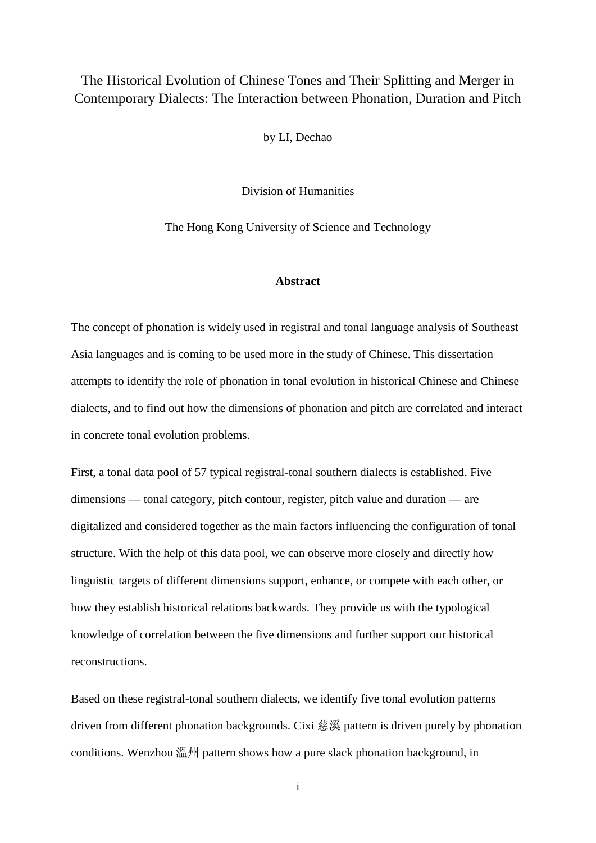## The Historical Evolution of Chinese Tones and Their Splitting and Merger in Contemporary Dialects: The Interaction between Phonation, Duration and Pitch

by LI, Dechao

Division of Humanities

The Hong Kong University of Science and Technology

## **Abstract**

The concept of phonation is widely used in registral and tonal language analysis of Southeast Asia languages and is coming to be used more in the study of Chinese. This dissertation attempts to identify the role of phonation in tonal evolution in historical Chinese and Chinese dialects, and to find out how the dimensions of phonation and pitch are correlated and interact in concrete tonal evolution problems.

First, a tonal data pool of 57 typical registral-tonal southern dialects is established. Five dimensions — tonal category, pitch contour, register, pitch value and duration — are digitalized and considered together as the main factors influencing the configuration of tonal structure. With the help of this data pool, we can observe more closely and directly how linguistic targets of different dimensions support, enhance, or compete with each other, or how they establish historical relations backwards. They provide us with the typological knowledge of correlation between the five dimensions and further support our historical reconstructions.

Based on these registral-tonal southern dialects, we identify five tonal evolution patterns driven from different phonation backgrounds. Cixi 慈溪 pattern is driven purely by phonation conditions. Wenzhou  $\mathbb{R}^N$  pattern shows how a pure slack phonation background, in

i